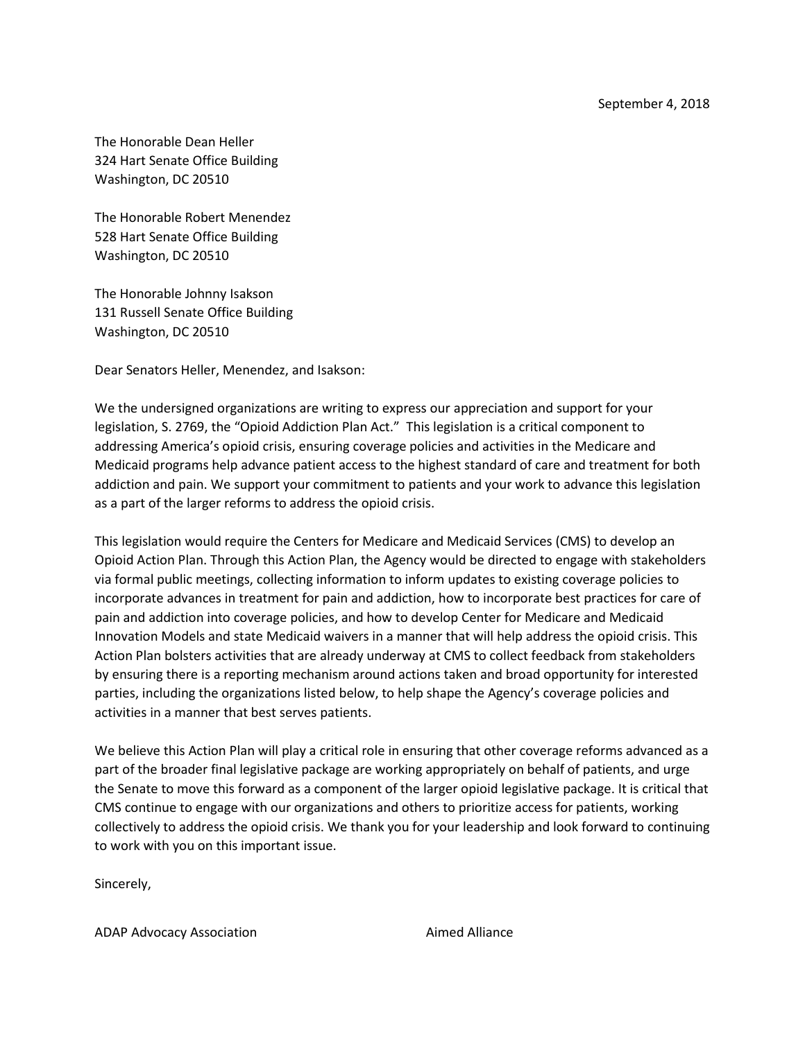September 4, 2018

The Honorable Dean Heller 324 Hart Senate Office Building Washington, DC 20510

The Honorable Robert Menendez 528 Hart Senate Office Building Washington, DC 20510

The Honorable Johnny Isakson 131 Russell Senate Office Building Washington, DC 20510

Dear Senators Heller, Menendez, and Isakson:

We the undersigned organizations are writing to express our appreciation and support for your legislation, S. 2769, the "Opioid Addiction Plan Act." This legislation is a critical component to addressing America's opioid crisis, ensuring coverage policies and activities in the Medicare and Medicaid programs help advance patient access to the highest standard of care and treatment for both addiction and pain. We support your commitment to patients and your work to advance this legislation as a part of the larger reforms to address the opioid crisis.

This legislation would require the Centers for Medicare and Medicaid Services (CMS) to develop an Opioid Action Plan. Through this Action Plan, the Agency would be directed to engage with stakeholders via formal public meetings, collecting information to inform updates to existing coverage policies to incorporate advances in treatment for pain and addiction, how to incorporate best practices for care of pain and addiction into coverage policies, and how to develop Center for Medicare and Medicaid Innovation Models and state Medicaid waivers in a manner that will help address the opioid crisis. This Action Plan bolsters activities that are already underway at CMS to collect feedback from stakeholders by ensuring there is a reporting mechanism around actions taken and broad opportunity for interested parties, including the organizations listed below, to help shape the Agency's coverage policies and activities in a manner that best serves patients.

We believe this Action Plan will play a critical role in ensuring that other coverage reforms advanced as a part of the broader final legislative package are working appropriately on behalf of patients, and urge the Senate to move this forward as a component of the larger opioid legislative package. It is critical that CMS continue to engage with our organizations and others to prioritize access for patients, working collectively to address the opioid crisis. We thank you for your leadership and look forward to continuing to work with you on this important issue.

Sincerely,

ADAP Advocacy Association ADAP Advocacy Association